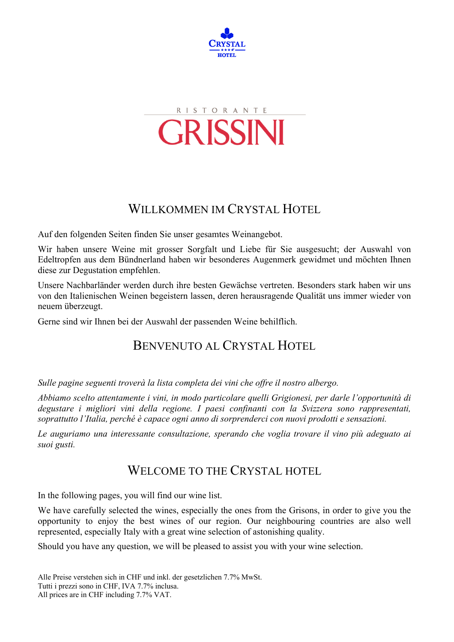



#### WILLKOMMEN IM CRYSTAL HOTEL

Auf den folgenden Seiten finden Sie unser gesamtes Weinangebot.

Wir haben unsere Weine mit grosser Sorgfalt und Liebe für Sie ausgesucht; der Auswahl von Edeltropfen aus dem Bündnerland haben wir besonderes Augenmerk gewidmet und möchten Ihnen diese zur Degustation empfehlen.

Unsere Nachbarländer werden durch ihre besten Gewächse vertreten. Besonders stark haben wir uns von den Italienischen Weinen begeistern lassen, deren herausragende Qualität uns immer wieder von neuem überzeugt.

Gerne sind wir Ihnen bei der Auswahl der passenden Weine behilflich.

### BENVENUTO AL CRYSTAL HOTEL

*Sulle pagine seguenti troverà la lista completa dei vini che offre il nostro albergo.*

*Abbiamo scelto attentamente i vini, in modo particolare quelli Grigionesi, per darle l'opportunità di degustare i migliori vini della regione. I paesi confinanti con la Svizzera sono rappresentati, soprattutto l'Italia, perché è capace ogni anno di sorprenderci con nuovi prodotti e sensazioni.* 

*Le auguriamo una interessante consultazione, sperando che voglia trovare il vino più adeguato ai suoi gusti.*

#### WELCOME TO THE CRYSTAL HOTEL

In the following pages, you will find our wine list.

We have carefully selected the wines, especially the ones from the Grisons, in order to give you the opportunity to enjoy the best wines of our region. Our neighbouring countries are also well represented, especially Italy with a great wine selection of astonishing quality.

Should you have any question, we will be pleased to assist you with your wine selection.

Alle Preise verstehen sich in CHF und inkl. der gesetzlichen 7.7% MwSt. Tutti i prezzi sono in CHF, IVA 7.7% inclusa. All prices are in CHF including 7.7% VAT.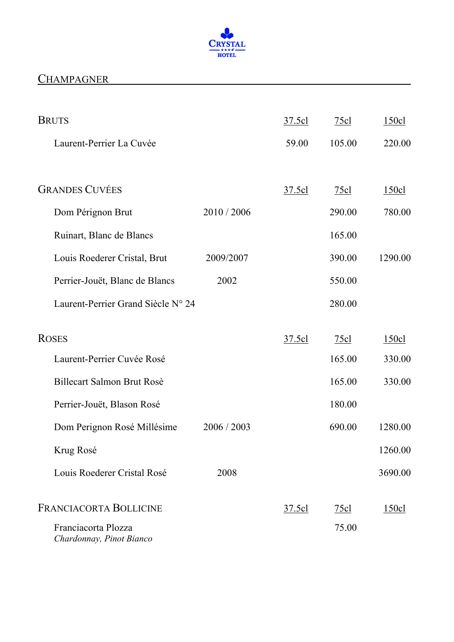

#### CHAMPAGNER

| <b>BRUTS</b>                                    |             | 37.5cl        | 75cl   | 150c1             |
|-------------------------------------------------|-------------|---------------|--------|-------------------|
| Laurent-Perrier La Cuvée                        |             | 59.00         | 105.00 | 220.00            |
|                                                 |             |               |        |                   |
| <b>GRANDES CUVÉES</b>                           |             | 37.5cl        | 75c1   | 150 <sub>cl</sub> |
| Dom Pérignon Brut                               | 2010 / 2006 |               | 290.00 | 780.00            |
| Ruinart, Blanc de Blancs                        |             |               | 165.00 |                   |
| Louis Roederer Cristal, Brut                    | 2009/2007   |               | 390.00 | 1290.00           |
| Perrier-Jouët, Blanc de Blancs                  | 2002        |               | 550.00 |                   |
| Laurent-Perrier Grand Siècle N° 24              |             |               | 280.00 |                   |
| <b>ROSES</b>                                    |             | <u>37.5cl</u> | 75c1   | 150 <sub>cl</sub> |
| Laurent-Perrier Cuvée Rosé                      |             |               | 165.00 | 330.00            |
| <b>Billecart Salmon Brut Rosè</b>               |             |               | 165.00 | 330.00            |
| Perrier-Jouët, Blason Rosé                      |             |               | 180.00 |                   |
| Dom Perignon Rosé Millésime                     | 2006 / 2003 |               | 690.00 | 1280.00           |
| Krug Rosé                                       |             |               |        | 1260.00           |
| Louis Roederer Cristal Rosé                     | 2008        |               |        | 3690.00           |
| <b>FRANCIACORTA BOLLICINE</b>                   |             | <u>37.5cl</u> | 75cl   | <u>150cl</u>      |
| Franciacorta Plozza<br>Chardonnay, Pinot Bianco |             |               | 75.00  |                   |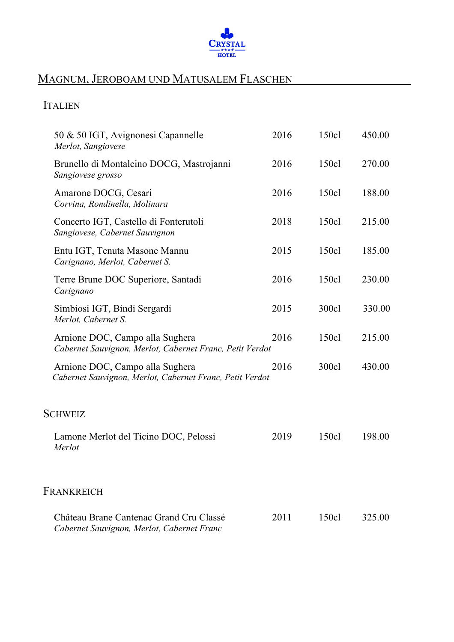

# MAGNUM, JEROBOAM UND MATUSALEM FLASCHEN

#### ITALIEN

| 50 & 50 IGT, Avignonesi Capannelle<br>Merlot, Sangiovese                                    | 2016 | 150c1 | 450.00 |
|---------------------------------------------------------------------------------------------|------|-------|--------|
| Brunello di Montalcino DOCG, Mastrojanni<br>Sangiovese grosso                               | 2016 | 150c1 | 270.00 |
| Amarone DOCG, Cesari<br>Corvina, Rondinella, Molinara                                       | 2016 | 150c1 | 188.00 |
| Concerto IGT, Castello di Fonterutoli<br>Sangiovese, Cabernet Sauvignon                     | 2018 | 150c1 | 215.00 |
| Entu IGT, Tenuta Masone Mannu<br>Carignano, Merlot, Cabernet S.                             | 2015 | 150c1 | 185.00 |
| Terre Brune DOC Superiore, Santadi<br>Carignano                                             | 2016 | 150c1 | 230.00 |
| Simbiosi IGT, Bindi Sergardi<br>Merlot, Cabernet S.                                         | 2015 | 300cl | 330.00 |
| Arnione DOC, Campo alla Sughera<br>Cabernet Sauvignon, Merlot, Cabernet Franc, Petit Verdot | 2016 | 150c1 | 215.00 |
| Arnione DOC, Campo alla Sughera<br>Cabernet Sauvignon, Merlot, Cabernet Franc, Petit Verdot | 2016 | 300cl | 430.00 |
| <b>SCHWEIZ</b>                                                                              |      |       |        |
| Lamone Merlot del Ticino DOC, Pelossi<br>Merlot                                             | 2019 | 150cl | 198.00 |
| FRANKREICH                                                                                  |      |       |        |
| Château Brane Cantenac Grand Cru Classé<br>Cabernet Sauvignon, Merlot, Cabernet Franc       | 2011 | 150c1 | 325.00 |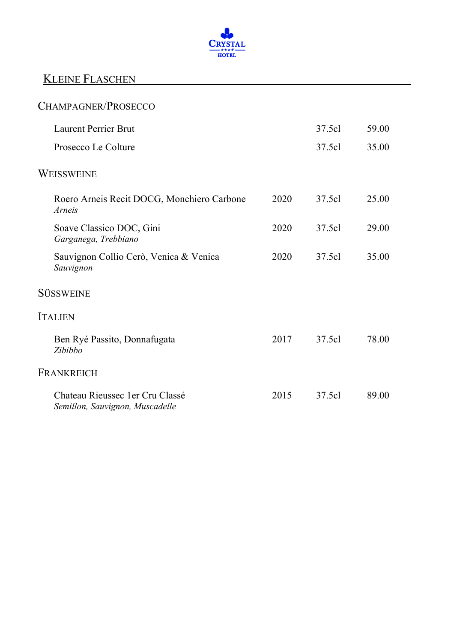

### KLEINE FLASCHEN

| CHAMPAGNER/PROSECCO                                                 |      |        |       |
|---------------------------------------------------------------------|------|--------|-------|
| <b>Laurent Perrier Brut</b>                                         |      | 37.5cl | 59.00 |
| Prosecco Le Colture                                                 |      | 37.5cl | 35.00 |
| WEISSWEINE                                                          |      |        |       |
| Roero Arneis Recit DOCG, Monchiero Carbone<br><b>Arneis</b>         | 2020 | 37.5cl | 25.00 |
| Soave Classico DOC, Gini<br>Garganega, Trebbiano                    | 2020 | 37.5cl | 29.00 |
| Sauvignon Collio Cerò, Venica & Venica<br>Sauvignon                 | 2020 | 37.5cl | 35.00 |
| <b>SÜSSWEINE</b>                                                    |      |        |       |
| <b>ITALIEN</b>                                                      |      |        |       |
| Ben Ryé Passito, Donnafugata<br>Zibibbo                             | 2017 | 37.5cl | 78.00 |
| FRANKREICH                                                          |      |        |       |
| Chateau Rieussec 1 er Cru Classé<br>Semillon, Sauvignon, Muscadelle | 2015 | 37.5cl | 89.00 |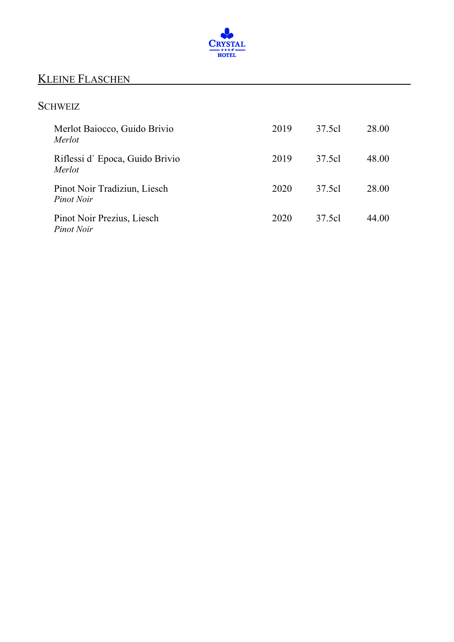

# KLEINE FLASCHEN

#### **SCHWEIZ**

| Merlot Baiocco, Guido Brivio<br>Merlot     | 2019 | 37.5cl | 28.00 |
|--------------------------------------------|------|--------|-------|
| Riflessi d'Epoca, Guido Brivio<br>Merlot   | 2019 | 37.5cl | 48.00 |
| Pinot Noir Tradiziun, Liesch<br>Pinot Noir | 2020 | 37.5cl | 28.00 |
| Pinot Noir Prezius, Liesch<br>Pinot Noir   | 2020 | 37.5cl | 44.00 |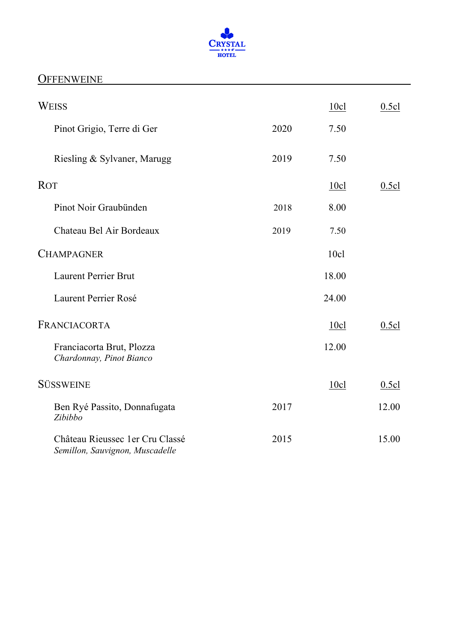

#### OFFENWEINE

| <b>WEISS</b>                                                        |      | 10c1  | 0.5cl |
|---------------------------------------------------------------------|------|-------|-------|
| Pinot Grigio, Terre di Ger                                          | 2020 | 7.50  |       |
| Riesling & Sylvaner, Marugg                                         | 2019 | 7.50  |       |
| <b>ROT</b>                                                          |      | 10c1  | 0.5c1 |
| Pinot Noir Graubünden                                               | 2018 | 8.00  |       |
| Chateau Bel Air Bordeaux                                            | 2019 | 7.50  |       |
| <b>CHAMPAGNER</b>                                                   |      | 10c1  |       |
| <b>Laurent Perrier Brut</b>                                         |      | 18.00 |       |
| Laurent Perrier Rosé                                                |      | 24.00 |       |
| FRANCIACORTA                                                        |      | 10c1  | 0.5cl |
| Franciacorta Brut, Plozza<br>Chardonnay, Pinot Bianco               |      | 12.00 |       |
| <b>SÜSSWEINE</b>                                                    |      | 10c1  | 0.5cl |
| Ben Ryé Passito, Donnafugata<br>Zibibbo                             | 2017 |       | 12.00 |
| Château Rieussec 1 er Cru Classé<br>Semillon, Sauvignon, Muscadelle | 2015 |       | 15.00 |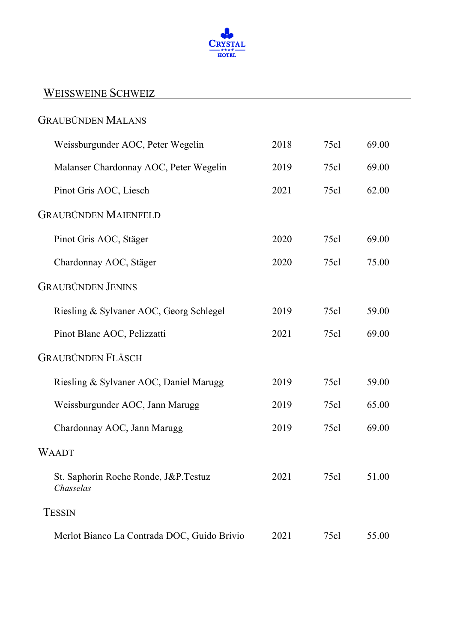

### WEISSWEINE SCHWEIZ

| <b>GRAUBÜNDEN MALANS</b>                          |      |      |       |
|---------------------------------------------------|------|------|-------|
| Weissburgunder AOC, Peter Wegelin                 | 2018 | 75c1 | 69.00 |
| Malanser Chardonnay AOC, Peter Wegelin            | 2019 | 75c1 | 69.00 |
| Pinot Gris AOC, Liesch                            | 2021 | 75c1 | 62.00 |
| <b>GRAUBÜNDEN MAIENFELD</b>                       |      |      |       |
| Pinot Gris AOC, Stäger                            | 2020 | 75c1 | 69.00 |
| Chardonnay AOC, Stäger                            | 2020 | 75c1 | 75.00 |
| <b>GRAUBÜNDEN JENINS</b>                          |      |      |       |
| Riesling & Sylvaner AOC, Georg Schlegel           | 2019 | 75c1 | 59.00 |
| Pinot Blanc AOC, Pelizzatti                       | 2021 | 75c1 | 69.00 |
| <b>GRAUBÜNDEN FLÄSCH</b>                          |      |      |       |
| Riesling & Sylvaner AOC, Daniel Marugg            | 2019 | 75c1 | 59.00 |
| Weissburgunder AOC, Jann Marugg                   | 2019 | 75c1 | 65.00 |
| Chardonnay AOC, Jann Marugg                       | 2019 | 75c1 | 69.00 |
| <b>WAADT</b>                                      |      |      |       |
| St. Saphorin Roche Ronde, J&P.Testuz<br>Chasselas | 2021 | 75c1 | 51.00 |
| <b>TESSIN</b>                                     |      |      |       |
| Merlot Bianco La Contrada DOC, Guido Brivio       | 2021 | 75cl | 55.00 |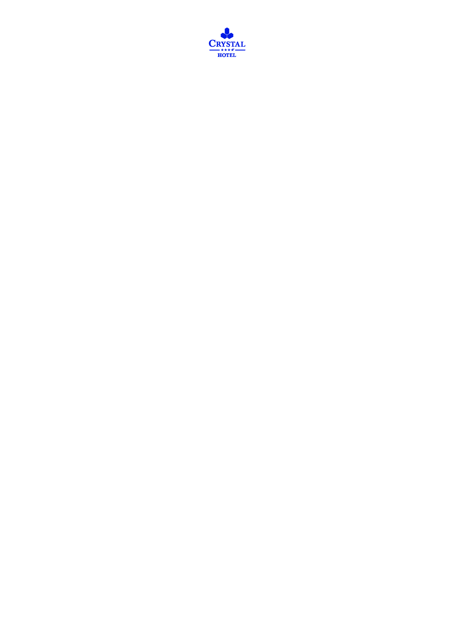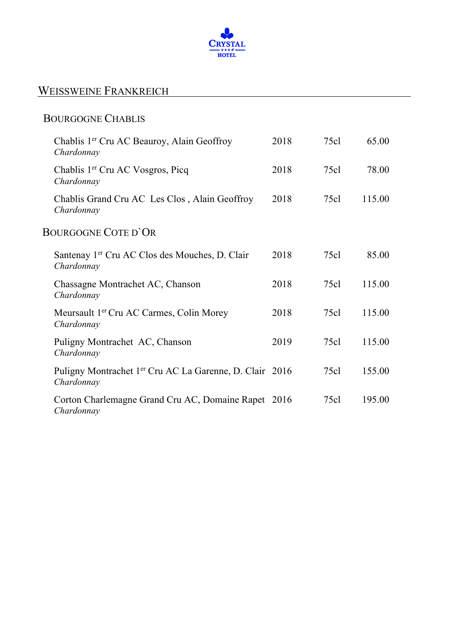

### WEISSWEINE FRANKREICH

| <b>BOURGOGNE CHABLIS</b>                                                          |      |      |        |
|-----------------------------------------------------------------------------------|------|------|--------|
| Chablis 1 <sup>er</sup> Cru AC Beauroy, Alain Geoffroy<br>Chardonnay              | 2018 | 75c1 | 65.00  |
| Chablis 1 <sup>er</sup> Cru AC Vosgros, Picq<br>Chardonnay                        | 2018 | 75c1 | 78.00  |
| Chablis Grand Cru AC Les Clos, Alain Geoffroy<br>Chardonnay                       | 2018 | 75c1 | 115.00 |
| BOURGOGNE COTE D'OR                                                               |      |      |        |
| Santenay 1 <sup>er</sup> Cru AC Clos des Mouches, D. Clair<br>Chardonnay          | 2018 | 75c1 | 85.00  |
| Chassagne Montrachet AC, Chanson<br>Chardonnay                                    | 2018 | 75c1 | 115.00 |
| Meursault 1 <sup>er</sup> Cru AC Carmes, Colin Morey<br>Chardonnay                | 2018 | 75c1 | 115.00 |
| Puligny Montrachet AC, Chanson<br>Chardonnay                                      | 2019 | 75c1 | 115.00 |
| Puligny Montrachet 1 <sup>er</sup> Cru AC La Garenne, D. Clair 2016<br>Chardonnay |      | 75c1 | 155.00 |
| Corton Charlemagne Grand Cru AC, Domaine Rapet 2016<br>Chardonnay                 |      | 75c1 | 195.00 |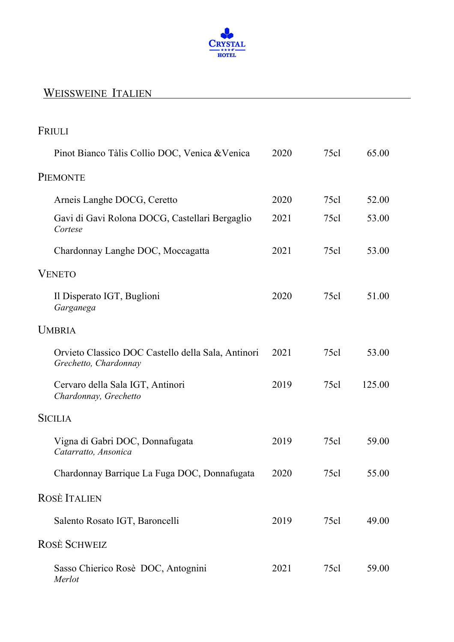

### WEISSWEINE ITALIEN

| FRIULI                                                                      |      |      |        |
|-----------------------------------------------------------------------------|------|------|--------|
| Pinot Bianco Tàlis Collio DOC, Venica & Venica                              | 2020 | 75c1 | 65.00  |
| <b>PIEMONTE</b>                                                             |      |      |        |
| Arneis Langhe DOCG, Ceretto                                                 | 2020 | 75c1 | 52.00  |
| Gavi di Gavi Rolona DOCG, Castellari Bergaglio<br>Cortese                   | 2021 | 75c1 | 53.00  |
| Chardonnay Langhe DOC, Moccagatta                                           | 2021 | 75c1 | 53.00  |
| <b>VENETO</b>                                                               |      |      |        |
| Il Disperato IGT, Buglioni<br>Garganega                                     | 2020 | 75c1 | 51.00  |
| <b>UMBRIA</b>                                                               |      |      |        |
| Orvieto Classico DOC Castello della Sala, Antinori<br>Grechetto, Chardonnay | 2021 | 75c1 | 53.00  |
| Cervaro della Sala IGT, Antinori<br>Chardonnay, Grechetto                   | 2019 | 75c1 | 125.00 |
| <b>SICILIA</b>                                                              |      |      |        |
| Vigna di Gabri DOC, Donnafugata<br>Catarratto, Ansonica                     | 2019 | 75c1 | 59.00  |
| Chardonnay Barrique La Fuga DOC, Donnafugata                                | 2020 | 75c1 | 55.00  |
| <b>ROSE ITALIEN</b>                                                         |      |      |        |
| Salento Rosato IGT, Baroncelli                                              | 2019 | 75c1 | 49.00  |
| <b>ROSÈ SCHWEIZ</b>                                                         |      |      |        |
| Sasso Chierico Rosè DOC, Antognini<br>Merlot                                | 2021 | 75c1 | 59.00  |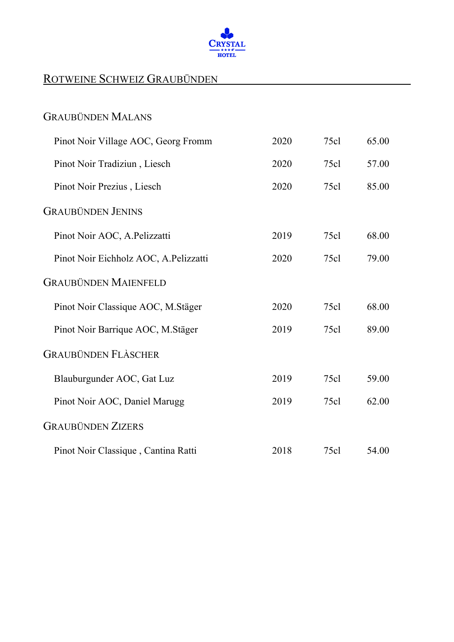

## ROTWEINE SCHWEIZ GRAUBÜNDEN

#### GRAUBÜNDEN MALANS

| Pinot Noir Village AOC, Georg Fromm   | 2020 | 75c1 | 65.00 |
|---------------------------------------|------|------|-------|
| Pinot Noir Tradiziun, Liesch          | 2020 | 75c1 | 57.00 |
| Pinot Noir Prezius, Liesch            | 2020 | 75c1 | 85.00 |
| <b>GRAUBÜNDEN JENINS</b>              |      |      |       |
| Pinot Noir AOC, A.Pelizzatti          | 2019 | 75c1 | 68.00 |
| Pinot Noir Eichholz AOC, A.Pelizzatti | 2020 | 75c1 | 79.00 |
| <b>GRAUBÜNDEN MAIENFELD</b>           |      |      |       |
| Pinot Noir Classique AOC, M.Stäger    | 2020 | 75c1 | 68.00 |
| Pinot Noir Barrique AOC, M.Stäger     | 2019 | 75c1 | 89.00 |
| <b>GRAUBÜNDEN FLÀSCHER</b>            |      |      |       |
| Blauburgunder AOC, Gat Luz            | 2019 | 75c1 | 59.00 |
| Pinot Noir AOC, Daniel Marugg         | 2019 | 75c1 | 62.00 |
| <b>GRAUBÜNDEN ZIZERS</b>              |      |      |       |
| Pinot Noir Classique, Cantina Ratti   | 2018 | 75c1 | 54.00 |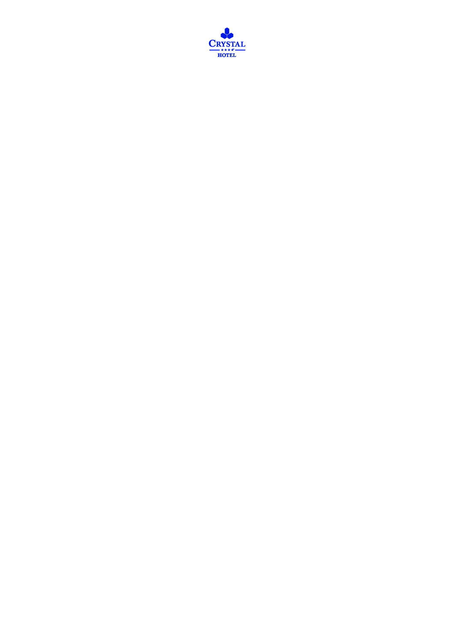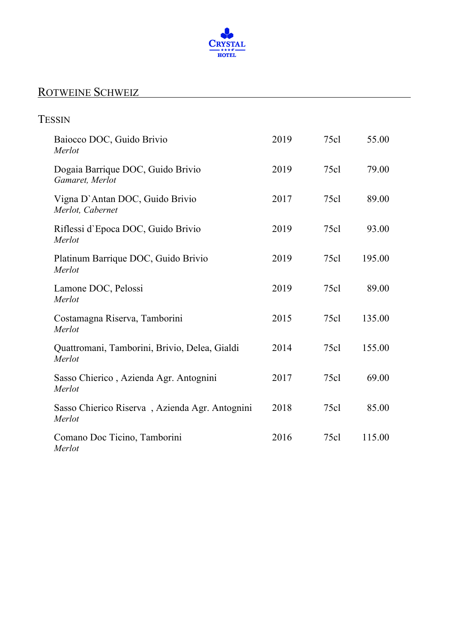

#### ROTWEINE SCHWEIZ

| <b>TESSIN</b>                                            |      |      |        |
|----------------------------------------------------------|------|------|--------|
| Baiocco DOC, Guido Brivio<br>Merlot                      | 2019 | 75c1 | 55.00  |
| Dogaia Barrique DOC, Guido Brivio<br>Gamaret, Merlot     | 2019 | 75c1 | 79.00  |
| Vigna D'Antan DOC, Guido Brivio<br>Merlot, Cabernet      | 2017 | 75c1 | 89.00  |
| Riflessi d'Epoca DOC, Guido Brivio<br>Merlot             | 2019 | 75c1 | 93.00  |
| Platinum Barrique DOC, Guido Brivio<br>Merlot            | 2019 | 75c1 | 195.00 |
| Lamone DOC, Pelossi<br>Merlot                            | 2019 | 75c1 | 89.00  |
| Costamagna Riserva, Tamborini<br>Merlot                  | 2015 | 75c1 | 135.00 |
| Quattromani, Tamborini, Brivio, Delea, Gialdi<br>Merlot  | 2014 | 75c1 | 155.00 |
| Sasso Chierico, Azienda Agr. Antognini<br>Merlot         | 2017 | 75c1 | 69.00  |
| Sasso Chierico Riserva, Azienda Agr. Antognini<br>Merlot | 2018 | 75c1 | 85.00  |
| Comano Doc Ticino, Tamborini<br>Merlot                   | 2016 | 75c1 | 115.00 |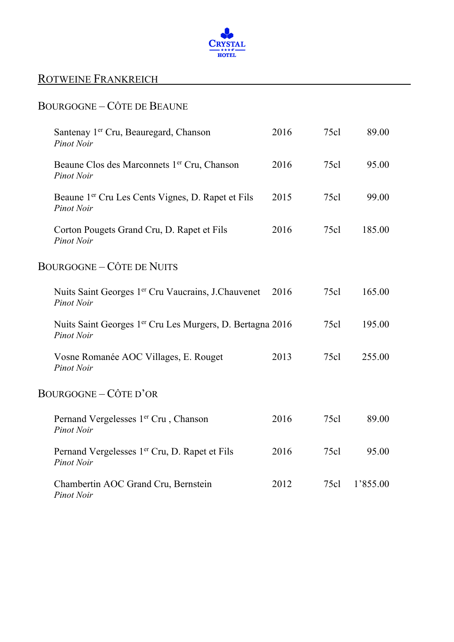

#### BOURGOGNE – CÔTE DE BEAUNE

| Santenay 1 <sup>er</sup> Cru, Beauregard, Chanson<br><b>Pinot Noir</b>                     | 2016 | 75c1 | 89.00    |
|--------------------------------------------------------------------------------------------|------|------|----------|
| Beaune Clos des Marconnets 1 <sup>er</sup> Cru, Chanson<br><b>Pinot Noir</b>               | 2016 | 75cl | 95.00    |
| Beaune 1er Cru Les Cents Vignes, D. Rapet et Fils<br><b>Pinot Noir</b>                     | 2015 | 75c1 | 99.00    |
| Corton Pougets Grand Cru, D. Rapet et Fils<br><b>Pinot Noir</b>                            | 2016 | 75c1 | 185.00   |
| <b>BOURGOGNE – CÔTE DE NUITS</b>                                                           |      |      |          |
| Nuits Saint Georges 1er Cru Vaucrains, J.Chauvenet<br><b>Pinot Noir</b>                    | 2016 | 75c1 | 165.00   |
| Nuits Saint Georges 1 <sup>er</sup> Cru Les Murgers, D. Bertagna 2016<br><b>Pinot Noir</b> |      | 75c1 | 195.00   |
| Vosne Romanée AOC Villages, E. Rouget<br><b>Pinot Noir</b>                                 | 2013 | 75cl | 255.00   |
| <b>BOURGOGNE – CÔTE D'OR</b>                                                               |      |      |          |
| Pernand Vergelesses 1er Cru, Chanson<br><b>Pinot Noir</b>                                  | 2016 | 75c1 | 89.00    |
| Pernand Vergelesses 1 <sup>er</sup> Cru, D. Rapet et Fils<br><b>Pinot Noir</b>             | 2016 | 75c1 | 95.00    |
| Chambertin AOC Grand Cru, Bernstein<br><b>Pinot Noir</b>                                   | 2012 | 75c1 | 1'855.00 |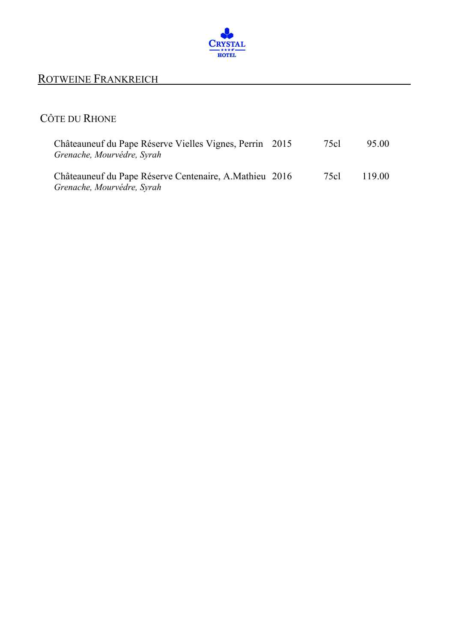

#### CÔTE DU RHONE

| Châteauneuf du Pape Réserve Vielles Vignes, Perrin 2015<br>Grenache, Mourvédre, Syrah | 75cl | 95.00  |
|---------------------------------------------------------------------------------------|------|--------|
| Châteauneuf du Pape Réserve Centenaire, A. Mathieu 2016<br>Grenache, Mourvédre, Syrah | 75cl | 119.00 |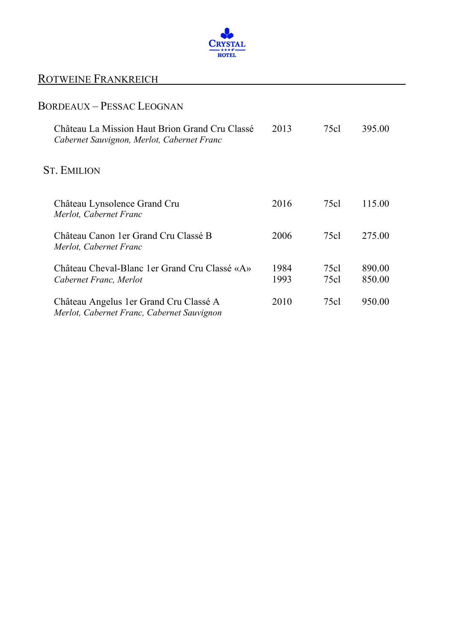

#### BORDEAUX – PESSAC LEOGNAN

| Château La Mission Haut Brion Grand Cru Classé<br>Cabernet Sauvignon, Merlot, Cabernet Franc | 2013         | 75c1         | 395.00           |
|----------------------------------------------------------------------------------------------|--------------|--------------|------------------|
| <b>ST. EMILION</b>                                                                           |              |              |                  |
| Château Lynsolence Grand Cru<br>Merlot, Cabernet Franc                                       | 2016         | 75c1         | 115.00           |
| Château Canon 1 er Grand Cru Classé B<br>Merlot, Cabernet Franc                              | 2006         | 75c1         | 275.00           |
| Château Cheval-Blanc 1 er Grand Cru Classé «A»<br>Cabernet Franc, Merlot                     | 1984<br>1993 | 75c1<br>75c1 | 890.00<br>850.00 |
| Château Angelus 1 er Grand Cru Classé A<br>Merlot, Cabernet Franc, Cabernet Sauvignon        | 2010         | 75c1         | 950.00           |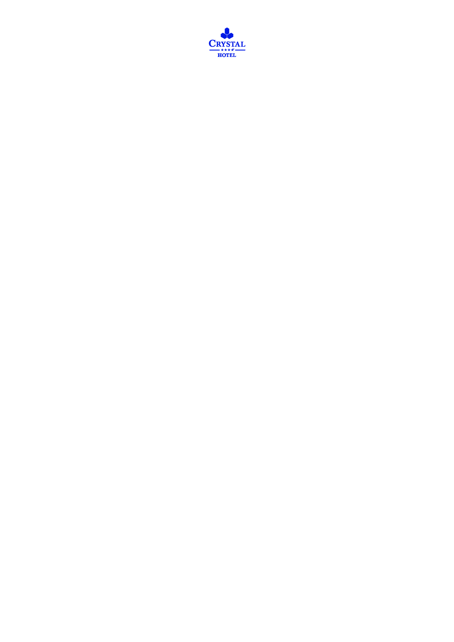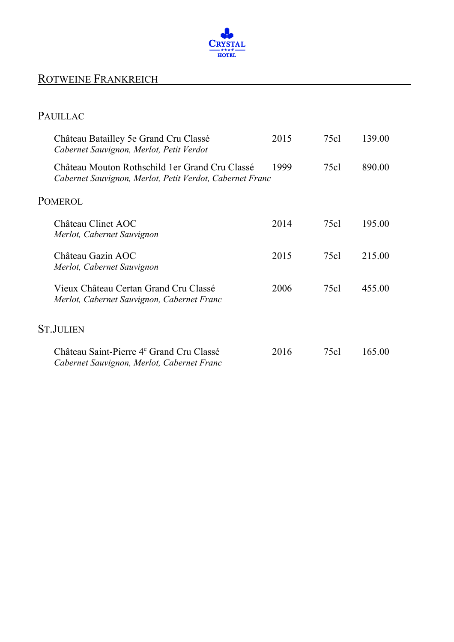

### PAUILLAC

| Château Batailley 5e Grand Cru Classé<br>Cabernet Sauvignon, Merlot, Petit Verdot                           | 2015 | 75c1 | 139.00 |
|-------------------------------------------------------------------------------------------------------------|------|------|--------|
| Château Mouton Rothschild 1 er Grand Cru Classé<br>Cabernet Sauvignon, Merlot, Petit Verdot, Cabernet Franc | 1999 | 75c1 | 890.00 |
| <b>POMEROL</b>                                                                                              |      |      |        |
| Château Clinet AOC<br>Merlot, Cabernet Sauvignon                                                            | 2014 | 75c1 | 195.00 |
| Château Gazin AOC<br>Merlot, Cabernet Sauvignon                                                             | 2015 | 75c1 | 215.00 |
| Vieux Château Certan Grand Cru Classé<br>Merlot, Cabernet Sauvignon, Cabernet Franc                         | 2006 | 75c1 | 455.00 |
| <b>ST.JULIEN</b>                                                                                            |      |      |        |
| Château Saint-Pierre 4 <sup>e</sup> Grand Cru Classé<br>Cabernet Sauvignon, Merlot, Cabernet Franc          | 2016 | 75c1 | 165.00 |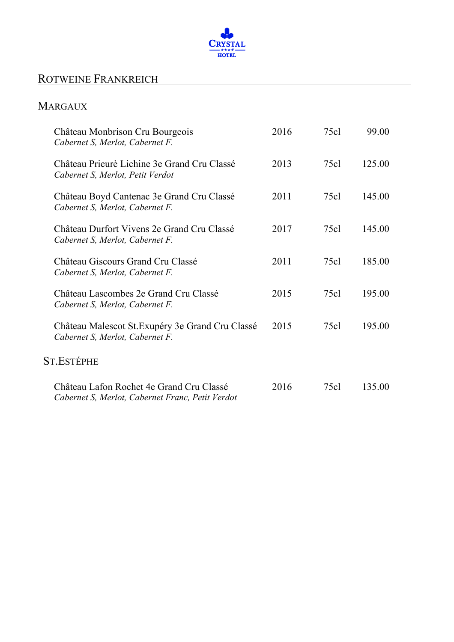

#### MARGAUX

| Château Monbrison Cru Bourgeois<br>Cabernet S, Merlot, Cabernet F.                           | 2016 | 75c1 | 99.00  |
|----------------------------------------------------------------------------------------------|------|------|--------|
| Château Prieurè Lichine 3e Grand Cru Classé<br>Cabernet S, Merlot, Petit Verdot              | 2013 | 75c1 | 125.00 |
| Château Boyd Cantenac 3e Grand Cru Classé<br>Cabernet S, Merlot, Cabernet F.                 | 2011 | 75c1 | 145.00 |
| Château Durfort Vivens 2e Grand Cru Classé<br>Cabernet S, Merlot, Cabernet F.                | 2017 | 75c1 | 145.00 |
| Château Giscours Grand Cru Classé<br>Cabernet S, Merlot, Cabernet F.                         | 2011 | 75c1 | 185.00 |
| Château Lascombes 2e Grand Cru Classé<br>Cabernet S, Merlot, Cabernet F.                     | 2015 | 75c1 | 195.00 |
| Château Malescot St. Exupéry 3e Grand Cru Classé<br>Cabernet S, Merlot, Cabernet F.          | 2015 | 75c1 | 195.00 |
| <b>ST.ESTÉPHE</b>                                                                            |      |      |        |
| Château Lafon Rochet 4e Grand Cru Classé<br>Cabernet S, Merlot, Cabernet Franc, Petit Verdot | 2016 | 75c1 | 135.00 |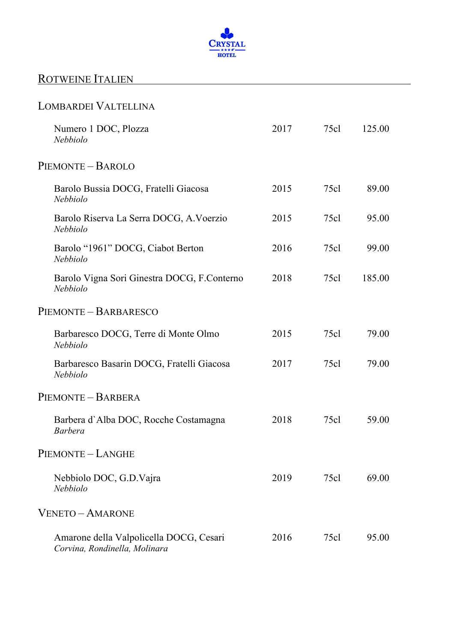

| LOMBARDEI VALTELLINA                                                     |      |      |        |
|--------------------------------------------------------------------------|------|------|--------|
| Numero 1 DOC, Plozza<br>Nebbiolo                                         | 2017 | 75c1 | 125.00 |
| PIEMONTE - BAROLO                                                        |      |      |        |
| Barolo Bussia DOCG, Fratelli Giacosa<br>Nebbiolo                         | 2015 | 75c1 | 89.00  |
| Barolo Riserva La Serra DOCG, A. Voerzio<br>Nebbiolo                     | 2015 | 75c1 | 95.00  |
| Barolo "1961" DOCG, Ciabot Berton<br>Nebbiolo                            | 2016 | 75c1 | 99.00  |
| Barolo Vigna Sori Ginestra DOCG, F.Conterno<br>Nebbiolo                  | 2018 | 75c1 | 185.00 |
| PIEMONTE - BARBARESCO                                                    |      |      |        |
| Barbaresco DOCG, Terre di Monte Olmo<br>Nebbiolo                         | 2015 | 75c1 | 79.00  |
| Barbaresco Basarin DOCG, Fratelli Giacosa<br>Nebbiolo                    | 2017 | 75c1 | 79.00  |
| PIEMONTE - BARBERA                                                       |      |      |        |
| Barbera d'Alba DOC, Rocche Costamagna<br><b>Barbera</b>                  | 2018 | 75c1 | 59.00  |
| PIEMONTE - LANGHE                                                        |      |      |        |
| Nebbiolo DOC, G.D.Vajra<br>Nebbiolo                                      | 2019 | 75c1 | 69.00  |
| <b>VENETO-AMARONE</b>                                                    |      |      |        |
| Amarone della Valpolicella DOCG, Cesari<br>Corvina, Rondinella, Molinara | 2016 | 75c1 | 95.00  |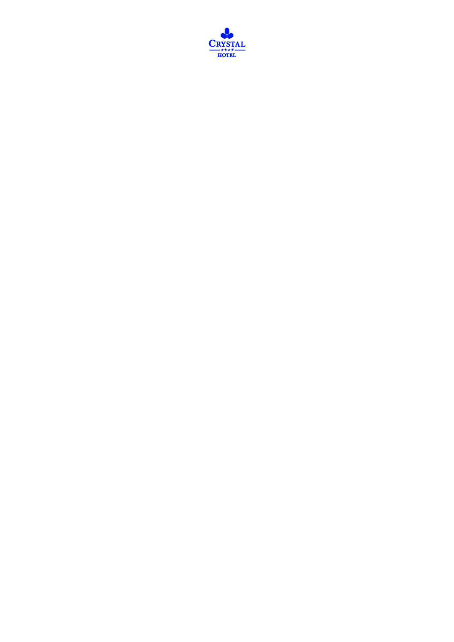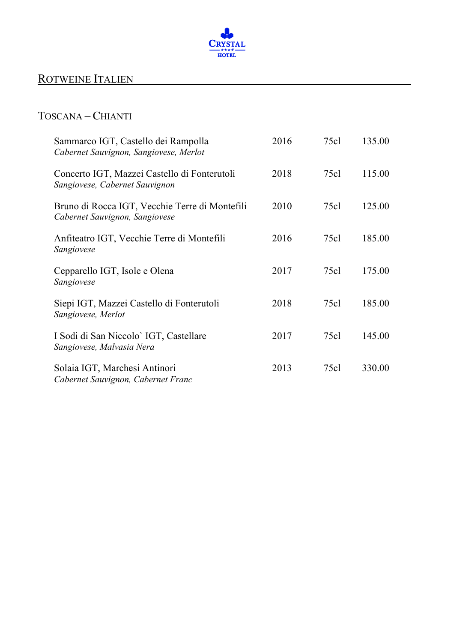

### TOSCANA – CHIANTI

| Sammarco IGT, Castello dei Rampolla<br>Cabernet Sauvignon, Sangiovese, Merlot    | 2016 | 75c1 | 135.00 |
|----------------------------------------------------------------------------------|------|------|--------|
| Concerto IGT, Mazzei Castello di Fonterutoli<br>Sangiovese, Cabernet Sauvignon   | 2018 | 75c1 | 115.00 |
| Bruno di Rocca IGT, Vecchie Terre di Montefili<br>Cabernet Sauvignon, Sangiovese | 2010 | 75c1 | 125.00 |
| Anfiteatro IGT, Vecchie Terre di Montefili<br>Sangiovese                         | 2016 | 75c1 | 185.00 |
| Cepparello IGT, Isole e Olena<br>Sangiovese                                      | 2017 | 75c1 | 175.00 |
| Siepi IGT, Mazzei Castello di Fonterutoli<br>Sangiovese, Merlot                  | 2018 | 75c1 | 185.00 |
| I Sodi di San Niccolo' IGT, Castellare<br>Sangiovese, Malvasia Nera              | 2017 | 75c1 | 145.00 |
| Solaia IGT, Marchesi Antinori<br>Cabernet Sauvignon, Cabernet Franc              | 2013 | 75c1 | 330.00 |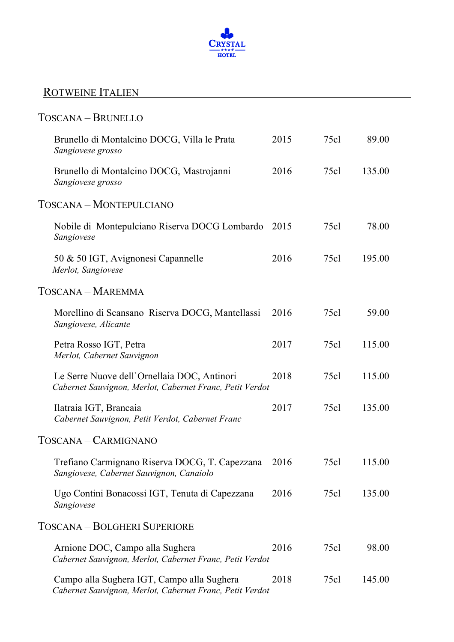

| <b>TOSCANA - BRUNELLO</b>                                                                               |      |      |        |
|---------------------------------------------------------------------------------------------------------|------|------|--------|
| Brunello di Montalcino DOCG, Villa le Prata<br>Sangiovese grosso                                        | 2015 | 75c1 | 89.00  |
| Brunello di Montalcino DOCG, Mastrojanni<br>Sangiovese grosso                                           | 2016 | 75c1 | 135.00 |
| TOSCANA - MONTEPULCIANO                                                                                 |      |      |        |
| Nobile di Montepulciano Riserva DOCG Lombardo<br>Sangiovese                                             | 2015 | 75c1 | 78.00  |
| 50 & 50 IGT, Avignonesi Capannelle<br>Merlot, Sangiovese                                                | 2016 | 75c1 | 195.00 |
| TOSCANA – MAREMMA                                                                                       |      |      |        |
| Morellino di Scansano Riserva DOCG, Mantellassi<br>Sangiovese, Alicante                                 | 2016 | 75c1 | 59.00  |
| Petra Rosso IGT, Petra<br>Merlot, Cabernet Sauvignon                                                    | 2017 | 75c1 | 115.00 |
| Le Serre Nuove dell'Ornellaia DOC, Antinori<br>Cabernet Sauvignon, Merlot, Cabernet Franc, Petit Verdot | 2018 | 75c1 | 115.00 |
| Ilatraia IGT, Brancaia<br>Cabernet Sauvignon, Petit Verdot, Cabernet Franc                              | 2017 | 75c1 | 135.00 |
| $TOSCANA - CARMIGNANO$                                                                                  |      |      |        |
| Trefiano Carmignano Riserva DOCG, T. Capezzana<br>Sangiovese, Cabernet Sauvignon, Canaiolo              | 2016 | 75c1 | 115.00 |
| Ugo Contini Bonacossi IGT, Tenuta di Capezzana<br>Sangiovese                                            | 2016 | 75c1 | 135.00 |
| <b>TOSCANA - BOLGHERI SUPERIORE</b>                                                                     |      |      |        |
| Arnione DOC, Campo alla Sughera<br>Cabernet Sauvignon, Merlot, Cabernet Franc, Petit Verdot             | 2016 | 75c1 | 98.00  |
| Campo alla Sughera IGT, Campo alla Sughera<br>Cabernet Sauvignon, Merlot, Cabernet Franc, Petit Verdot  | 2018 | 75c1 | 145.00 |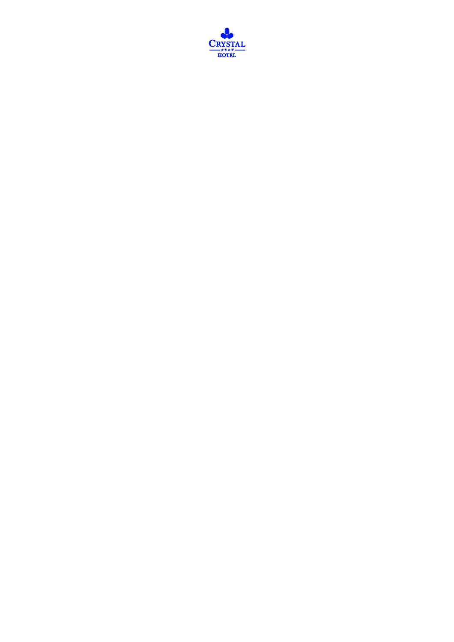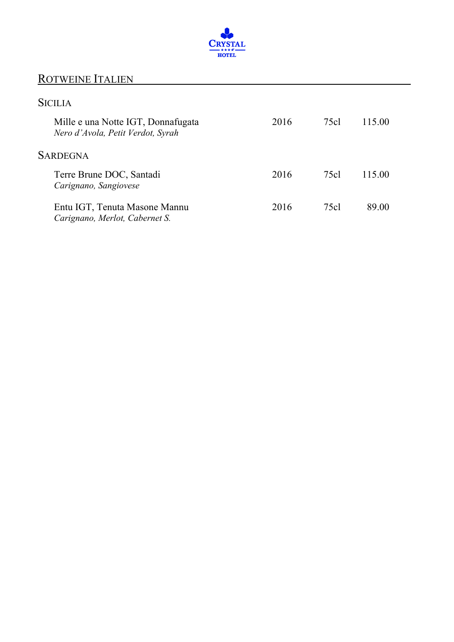

| <b>SICILIA</b>                                                          |      |                  |        |
|-------------------------------------------------------------------------|------|------------------|--------|
| Mille e una Notte IGT, Donnafugata<br>Nero d'Avola, Petit Verdot, Syrah | 2016 | 75c1             | 115.00 |
| SARDEGNA                                                                |      |                  |        |
| Terre Brune DOC, Santadi<br>Carignano, Sangiovese                       | 2016 | 75 <sub>cl</sub> | 115.00 |
| Entu IGT, Tenuta Masone Mannu<br>Carignano, Merlot, Cabernet S.         | 2016 | 75 <sub>cl</sub> | 89.00  |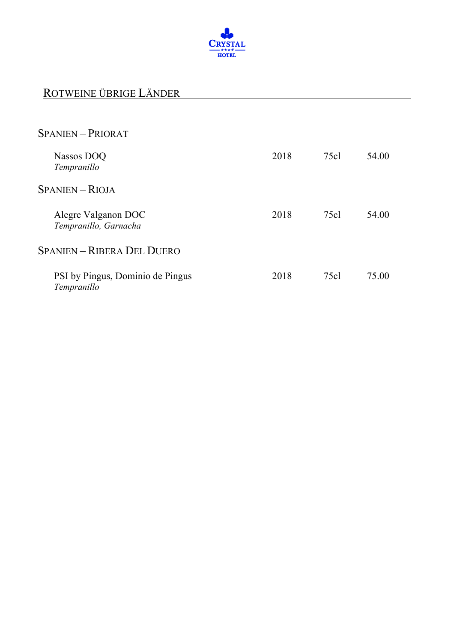

### ROTWEINE ÜBRIGE LÄNDER

| SPANIEN - PRIORAT                               |      |                  |       |
|-------------------------------------------------|------|------------------|-------|
| Nassos DOQ<br>Tempranillo                       | 2018 | 75 <sub>cl</sub> | 54.00 |
| $SPANIEN - RIOJA$                               |      |                  |       |
| Alegre Valganon DOC<br>Tempranillo, Garnacha    | 2018 | 75c1             | 54.00 |
| <b>SPANIEN - RIBERA DEL DUERO</b>               |      |                  |       |
| PSI by Pingus, Dominio de Pingus<br>Tempranillo | 2018 | 75 <sub>cl</sub> | 75.00 |